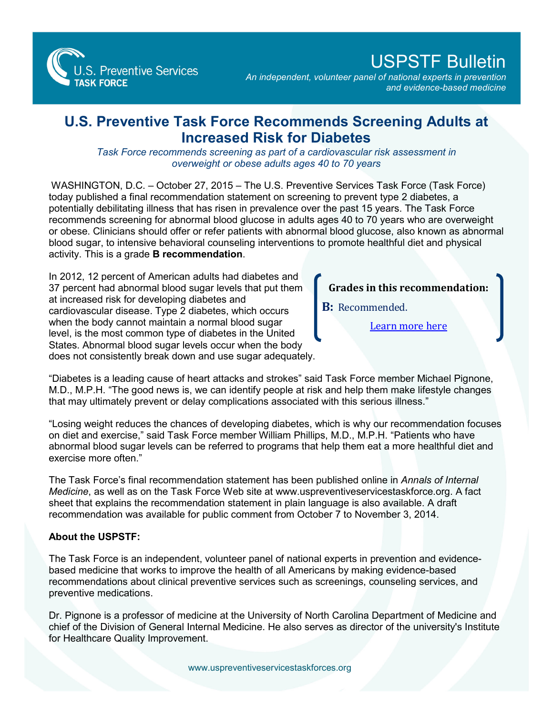

## USPSTF Bulletin

*An independent, volunteer panel of national experts in prevention and evidence-based medicine*

## **U.S. Preventive Task Force Recommends Screening Adults at Increased Risk for Diabetes**

*Task Force recommends screening as part of a cardiovascular risk assessment in overweight or obese adults ages 40 to 70 years* 

WASHINGTON, D.C. – October 27, 2015 – The U.S. Preventive Services Task Force (Task Force) today published a final recommendation statement on screening to prevent type 2 diabetes, a potentially debilitating illness that has risen in prevalence over the past 15 years. The Task Force recommends screening for abnormal blood glucose in adults ages 40 to 70 years who are overweight or obese. Clinicians should offer or refer patients with abnormal blood glucose, also known as abnormal blood sugar, to intensive behavioral counseling interventions to promote healthful diet and physical activity. This is a grade **B recommendation**.

In 2012, 12 percent of American adults had diabetes and 37 percent had abnormal blood sugar levels that put them at increased risk for developing diabetes and cardiovascular disease. Type 2 diabetes, which occurs when the body cannot maintain a normal blood sugar level, is the most common type of diabetes in the United States. Abnormal blood sugar levels occur when the body does not consistently break down and use sugar adequately.

## **Grades in this recommendation:**

**B:** Recommended.

[Learn more here](http://www.uspreventiveservicestaskforce.org/Page/Name/grade-definitions)

"Diabetes is a leading cause of heart attacks and strokes" said Task Force member Michael Pignone, M.D., M.P.H. "The good news is, we can identify people at risk and help them make lifestyle changes that may ultimately prevent or delay complications associated with this serious illness."

"Losing weight reduces the chances of developing diabetes, which is why our recommendation focuses on diet and exercise," said Task Force member William Phillips, M.D., M.P.H. "Patients who have abnormal blood sugar levels can be referred to programs that help them eat a more healthful diet and exercise more often."

The Task Force's final recommendation statement has been published online in *Annals of Internal Medicine*, as well as on the Task Force Web site at www.uspreventiveservicestaskforce.org. A fact sheet that explains the recommendation statement in plain language is also available. A draft recommendation was available for public comment from October 7 to November 3, 2014.

## **About the USPSTF:**

The Task Force is an independent, volunteer panel of national experts in prevention and evidencebased medicine that works to improve the health of all Americans by making evidence-based recommendations about clinical preventive services such as screenings, counseling services, and preventive medications.

Dr. Pignone is a professor of medicine at the University of North Carolina Department of Medicine and chief of the Division of General Internal Medicine. He also serves as director of the university's Institute for Healthcare Quality Improvement.